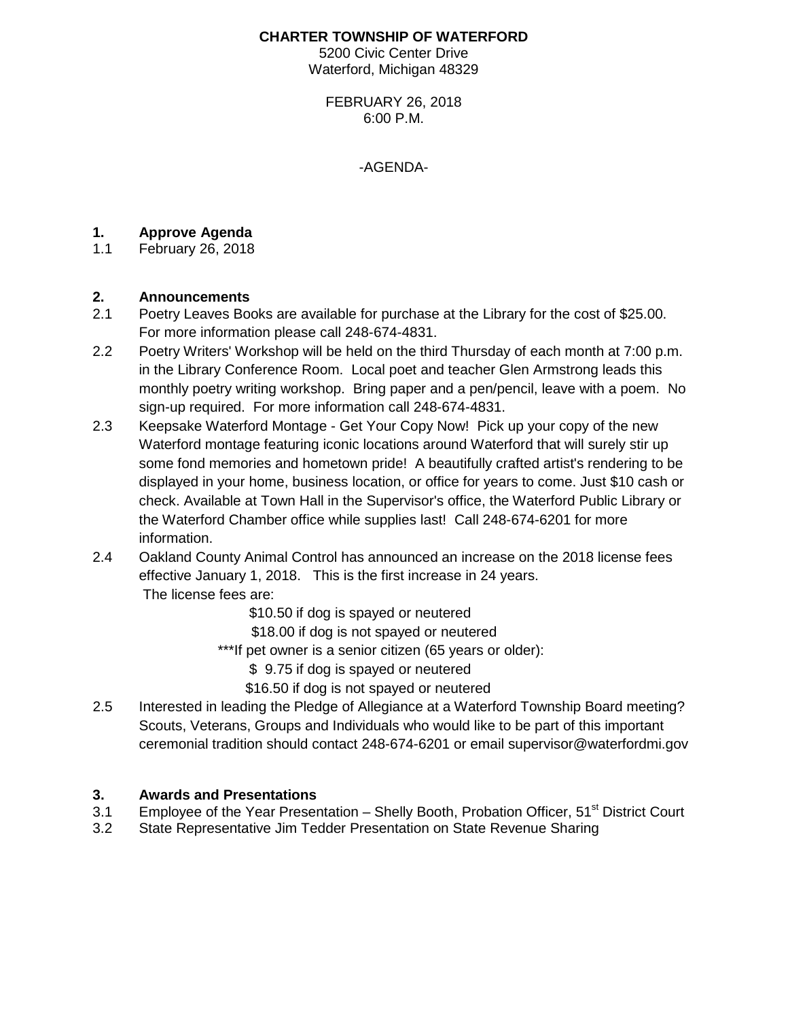#### **CHARTER TOWNSHIP OF WATERFORD**

5200 Civic Center Drive Waterford, Michigan 48329

FEBRUARY 26, 2018 6:00 P.M.

-AGENDA-

### **1. Approve Agenda**

1.1 February 26, 2018

# **2. Announcements**

- Poetry Leaves Books are available for purchase at the Library for the cost of \$25.00. For more information please call 248-674-4831.
- 2.2 Poetry Writers' Workshop will be held on the third Thursday of each month at 7:00 p.m. in the Library Conference Room. Local poet and teacher Glen Armstrong leads this monthly poetry writing workshop. Bring paper and a pen/pencil, leave with a poem. No sign-up required. For more information call 248-674-4831.
- 2.3 Keepsake Waterford Montage Get Your Copy Now! Pick up your copy of the new Waterford montage featuring iconic locations around Waterford that will surely stir up some fond memories and hometown pride! A beautifully crafted artist's rendering to be displayed in your home, business location, or office for years to come. Just \$10 cash or check. Available at Town Hall in the Supervisor's office, the Waterford Public Library or the Waterford Chamber office while supplies last! Call 248-674-6201 for more information.
- 2.4 Oakland County Animal Control has announced an increase on the 2018 license fees effective January 1, 2018. This is the first increase in 24 years. The license fees are:

\$10.50 if dog is spayed or neutered

\$18.00 if dog is not spayed or neutered

\*\*\*If pet owner is a senior citizen (65 years or older):

\$ 9.75 if dog is spayed or neutered

\$16.50 if dog is not spayed or neutered

2.5 Interested in leading the Pledge of Allegiance at a Waterford Township Board meeting? Scouts, Veterans, Groups and Individuals who would like to be part of this important ceremonial tradition should contact 248-674-6201 or email supervisor@waterfordmi.gov

#### **3. Awards and Presentations**

- 3.1 Employee of the Year Presentation Shelly Booth, Probation Officer, 51<sup>st</sup> District Court
- 3.2 State Representative Jim Tedder Presentation on State Revenue Sharing